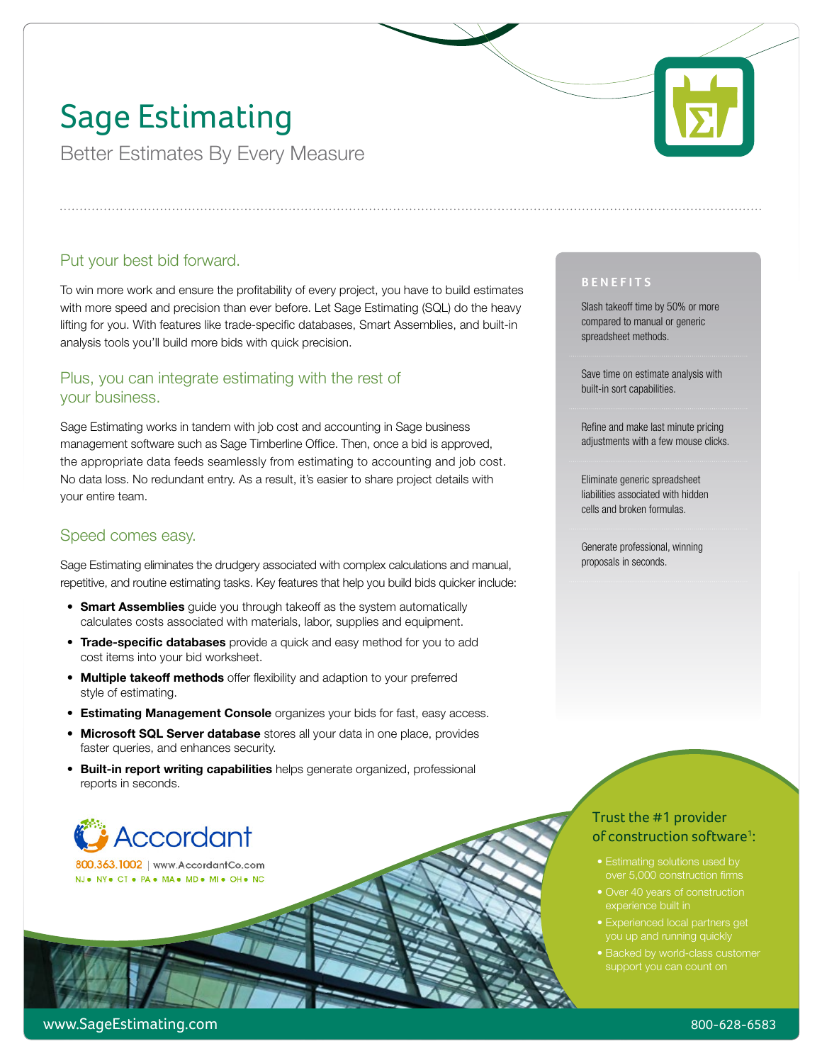# Sage Estimating

Better Estimates By Every Measure

### Put your best bid forward.

To win more work and ensure the profitability of every project, you have to build estimates with more speed and precision than ever before. Let Sage Estimating (SQL) do the heavy lifting for you. With features like trade-specific databases, Smart Assemblies, and built-in analysis tools you'll build more bids with quick precision.

#### Plus, you can integrate estimating with the rest of your business.

Sage Estimating works in tandem with job cost and accounting in Sage business management software such as Sage Timberline Office. Then, once a bid is approved, the appropriate data feeds seamlessly from estimating to accounting and job cost. No data loss. No redundant entry. As a result, it's easier to share project details with your entire team.

### Speed comes easy.

Sage Estimating eliminates the drudgery associated with complex calculations and manual, repetitive, and routine estimating tasks. Key features that help you build bids quicker include:

- **Smart Assemblies** quide you through takeoff as the system automatically calculates costs associated with materials, labor, supplies and equipment.
- **Trade-specific databases** provide a quick and easy method for you to add cost items into your bid worksheet.
- **Multiple takeoff methods** offer flexibility and adaption to your preferred style of estimating.
- **Estimating Management Console** organizes your bids for fast, easy access.
- **Microsoft SQL Server database** stores all your data in one place, provides faster queries, and enhances security.
- **Built-in report writing capabilities** helps generate organized, professional reports in seconds.

# **Accordant**

800.363.1002 | www.AccordantCo.com NJ. NY. CT. PA. MA. MD. MI. OH. NC

#### **Benefits**

Slash takeoff time by 50% or more compared to manual or generic spreadsheet methods.

Save time on estimate analysis with built-in sort capabilities.

Refine and make last minute pricing adjustments with a few mouse clicks.

Eliminate generic spreadsheet liabilities associated with hidden cells and broken formulas.

Generate professional, winning proposals in seconds.

### Trust the #1 provider of construction software<sup>1</sup>:

- Estimating solutions used by over 5,000 construction firms
- experience built in
- 
- Backed by world-class customer support you can count on